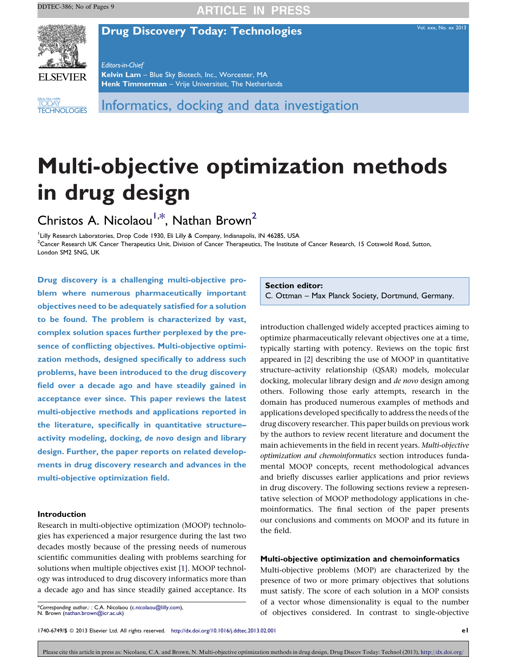# **ARTICLE IN PRESS**

# Drug Discovery Today: [Technologies](http://dx.doi.org/10.1016/j.ddtec.2013.02.001) Vol. [2013](http://dx.doi.org/10.1016/j.ddtec.2013.02.001)



Editors-in-Chief Kelvin Lam – Blue Sky Biotech, Inc., Worcester, MA Henk Timmerman - Vrije Universiteit, The Netherlands

**TECHNOLOGIES DRUG DISCOVERY** TODAY

Informatics, docking and data investigation

# Multi-objective optimization methods in drug design

Christos A. Nicolaou<sup>1,\*</sup>, Nathan Brown<sup>2</sup>

<sup>1</sup>Lilly Research Laboratories, Drop Code 1930, Eli Lilly & Company, Indianapolis, IN 46285, USA<br><sup>2</sup>Cancer Research LIK Cancer Therapeutics Llpit, Division of Cancer Therapeutics. The Institute  $2$ Cancer Research UK Cancer Therapeutics Unit, Division of Cancer Therapeutics, The Institute of Cancer Research, 15 Cotswold Road, Sutton, London SM2 5NG, UK

Drug discovery is a challenging multi-objective problem where numerous pharmaceutically important objectives need to be adequately satisfied for a solution to be found. The problem is characterized by vast, complex solution spaces further perplexed by the presence of conflicting objectives. Multi-objective optimization methods, designed specifically to address such problems, have been introduced to the drug discovery field over a decade ago and have steadily gained in acceptance ever since. This paper reviews the latest multi-objective methods and applications reported in the literature, specifically in quantitative structure– activity modeling, docking, de novo design and library design. Further, the paper reports on related developments in drug discovery research and advances in the multi-objective optimization field.

#### Introduction

Research in multi-objective optimization (MOOP) technologies has experienced a major resurgence during the last two decades mostly because of the pressing needs of numerous scientific communities dealing with problems searching for solutions when multiple objectives exist [[1\]](#page-8-0). MOOP technology was introduced to drug discovery informatics more than a decade ago and has since steadily gained acceptance. Its

## Section editor:

C. Ottman – Max Planck Society, Dortmund, Germany.

introduction challenged widely accepted practices aiming to optimize pharmaceutically relevant objectives one at a time, typically starting with potency. Reviews on the topic first appeared in [\[2](#page-8-0)] describing the use of MOOP in quantitative structure–activity relationship (QSAR) models, molecular docking, molecular library design and de novo design among others. Following those early attempts, research in the domain has produced numerous examples of methods and applications developed specifically to address the needs of the drug discovery researcher. This paper builds on previous work by the authors to review recent literature and document the main achievements in the field in recent years. Multi-objective optimization and chemoinformatics section introduces fundamental MOOP concepts, recent methodological advances and briefly discusses earlier applications and prior reviews in drug discovery. The following sections review a representative selection of MOOP methodology applications in chemoinformatics. The final section of the paper presents our conclusions and comments on MOOP and its future in the field.

#### Multi-objective optimization and chemoinformatics

Multi-objective problems (MOP) are characterized by the presence of two or more primary objectives that solutions must satisfy. The score of each solution in a MOP consists of a vector whose dimensionality is equal to the number of objectives considered. In contrast to single-objective

```
http://dx.doi.org/10.1016/j.ddtec.2013.02.001 e1
```
<sup>\*</sup>Corresponding author.: : C.A. Nicolaou [\(c.nicolaou@lilly.com\)](mailto:c.nicolaou@lilly.com), N. Brown [\(nathan.brown@icr.ac.uk\)](mailto:nathan.brown@icr.ac.uk)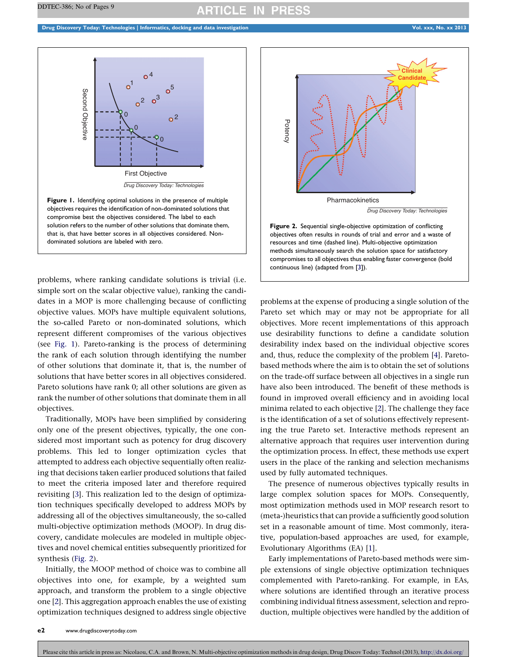# **RTICLE IN PRESS**

#### Drug Discovery Today: Technologies | Informatics, docking and data investigation Vol. xxx, No. xx 2013



problems, where ranking candidate solutions is trivial (i.e. simple sort on the scalar objective value), ranking the candidates in a MOP is more challenging because of conflicting objective values. MOPs have multiple equivalent solutions, the so-called Pareto or non-dominated solutions, which represent different compromises of the various objectives (see Fig. 1). Pareto-ranking is the process of determining the rank of each solution through identifying the number of other solutions that dominate it, that is, the number of solutions that have better scores in all objectives considered. Pareto solutions have rank 0; all other solutions are given as rank the number of other solutions that dominate them in all objectives.

Traditionally, MOPs have been simplified by considering only one of the present objectives, typically, the one considered most important such as potency for drug discovery problems. This led to longer optimization cycles that attempted to address each objective sequentially often realizing that decisions taken earlier produced solutions that failed to meet the criteria imposed later and therefore required revisiting [\[3](#page-8-0)]. This realization led to the design of optimization techniques specifically developed to address MOPs by addressing all of the objectives simultaneously, the so-called multi-objective optimization methods (MOOP). In drug discovery, candidate molecules are modeled in multiple objectives and novel chemical entities subsequently prioritized for synthesis (Fig. 2).

Initially, the MOOP method of choice was to combine all objectives into one, for example, by a weighted sum approach, and transform the problem to a single objective one [[2](#page-8-0)]. This aggregation approach enables the use of existing optimization techniques designed to address single objective



problems at the expense of producing a single solution of the Pareto set which may or may not be appropriate for all objectives. More recent implementations of this approach use desirability functions to define a candidate solution desirability index based on the individual objective scores and, thus, reduce the complexity of the problem [\[4](#page-8-0)]. Paretobased methods where the aim is to obtain the set of solutions on the trade-off surface between all objectives in a single run have also been introduced. The benefit of these methods is found in improved overall efficiency and in avoiding local minima related to each objective [\[2](#page-8-0)]. The challenge they face is the identification of a set of solutions effectively representing the true Pareto set. Interactive methods represent an alternative approach that requires user intervention during the optimization process. In effect, these methods use expert users in the place of the ranking and selection mechanisms used by fully automated techniques.

The presence of numerous objectives typically results in large complex solution spaces for MOPs. Consequently, most optimization methods used in MOP research resort to (meta-)heuristics that can provide a sufficiently good solution set in a reasonable amount of time. Most commonly, iterative, population-based approaches are used, for example, Evolutionary Algorithms (EA) [\[1](#page-8-0)].

Early implementations of Pareto-based methods were simple extensions of single objective optimization techniques complemented with Pareto-ranking. For example, in EAs, where solutions are identified through an iterative process combining individual fitness assessment, selection and reproduction, multiple objectives were handled by the addition of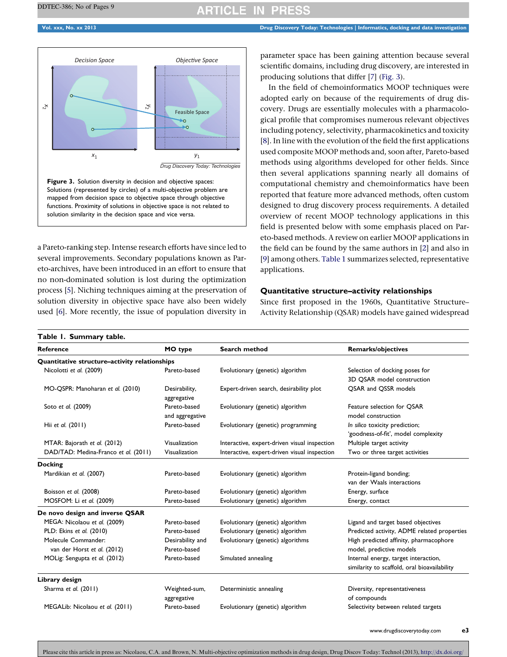# **ARTICLE IN PRESS**



Figure 3. Solution diversity in decision and objective spaces: Solutions (represented by circles) of a multi-objective problem are mapped from decision space to objective space through objective functions. Proximity of solutions in objective space is not related to solution similarity in the decision space and vice versa.

a Pareto-ranking step. Intense research efforts have since led to several improvements. Secondary populations known as Pareto-archives, have been introduced in an effort to ensure that no non-dominated solution is lost during the optimization process [[5\]](#page-8-0). Niching techniques aiming at the preservation of solution diversity in objective space have also been widely used [[6\]](#page-8-0). More recently, the issue of population diversity in

parameter space has been gaining attention because several scientific domains, including drug discovery, are interested in producing solutions that differ [\[7\]](#page-8-0) (Fig. 3).

In the field of chemoinformatics MOOP techniques were adopted early on because of the requirements of drug discovery. Drugs are essentially molecules with a pharmacological profile that compromises numerous relevant objectives including potency, selectivity, pharmacokinetics and toxicity [[8\]](#page-8-0). In line with the evolution of the field the first applications used composite MOOP methods and, soon after, Pareto-based methods using algorithms developed for other fields. Since then several applications spanning nearly all domains of computational chemistry and chemoinformatics have been reported that feature more advanced methods, often custom designed to drug discovery process requirements. A detailed overview of recent MOOP technology applications in this field is presented below with some emphasis placed on Pareto-based methods. A review on earlier MOOP applications in the field can be found by the same authors in [\[2](#page-8-0)] and also in [[9\]](#page-8-0) among others. Table 1 summarizes selected, representative applications.

#### Quantitative structure–activity relationships

Since first proposed in the 1960s, Quantitative Structure– Activity Relationship (QSAR) models have gained widespread

| <b>Reference</b>                              | MO type                         | Search method                                | <b>Remarks/objectives</b>                                                            |
|-----------------------------------------------|---------------------------------|----------------------------------------------|--------------------------------------------------------------------------------------|
| Quantitative structure-activity relationships |                                 |                                              |                                                                                      |
| Nicolotti et al. (2009)                       | Pareto-based                    | Evolutionary (genetic) algorithm             | Selection of docking poses for<br>3D OSAR model construction                         |
| MO-QSPR: Manoharan et al. (2010)              | Desirability,<br>aggregative    | Expert-driven search, desirability plot      | <b>OSAR and OSSR models</b>                                                          |
| Soto et al. (2009)                            | Pareto-based<br>and aggregative | Evolutionary (genetic) algorithm             | Feature selection for QSAR<br>model construction                                     |
| Hii et al. (2011)                             | Pareto-based                    | Evolutionary (genetic) programming           | In silico toxicity prediction;<br>'goodness-of-fit', model complexity                |
| MTAR: Bajorath et al. (2012)                  | Visualization                   | Interactive, expert-driven visual inspection | Multiple target activity                                                             |
| DAD/TAD: Medina-Franco et al. (2011)          | Visualization                   | Interactive, expert-driven visual inspection | Two or three target activities                                                       |
| <b>Docking</b>                                |                                 |                                              |                                                                                      |
| Mardikian et al. (2007)                       | Pareto-based                    | Evolutionary (genetic) algorithm             | Protein-ligand bonding;<br>van der Waals interactions                                |
| Boisson et al. (2008)                         | Pareto-based                    | Evolutionary (genetic) algorithm             | Energy, surface                                                                      |
| MOSFOM: Li et al. (2009)                      | Pareto-based                    | Evolutionary (genetic) algorithm             | Energy, contact                                                                      |
| De novo design and inverse QSAR               |                                 |                                              |                                                                                      |
| MEGA: Nicolaou et al. (2009)                  | Pareto-based                    | Evolutionary (genetic) algorithm             | Ligand and target based objectives                                                   |
| PLD: Ekins et al. (2010)                      | Pareto-based                    | Evolutionary (genetic) algorithm             | Predicted activity, ADME related properties                                          |
| Molecule Commander:                           | Desirability and                | Evolutionary (genetic) algorithms            | High predicted affinity, pharmacophore                                               |
| van der Horst et al. (2012)                   | Pareto-based                    |                                              | model, predictive models                                                             |
| MOLig: Sengupta et al. (2012)                 | Pareto-based                    | Simulated annealing                          | Internal energy, target interaction,<br>similarity to scaffold, oral bioavailability |
| Library design                                |                                 |                                              |                                                                                      |
| Sharma et al. (2011)                          | Weighted-sum,                   | Deterministic annealing                      | Diversity, representativeness                                                        |
|                                               | aggregative                     |                                              | of compounds                                                                         |
| MEGALib: Nicolaou et al. (2011)               | Pareto-based                    | Evolutionary (genetic) algorithm             | Selectivity between related targets                                                  |

www.drugdiscoverytoday.com e3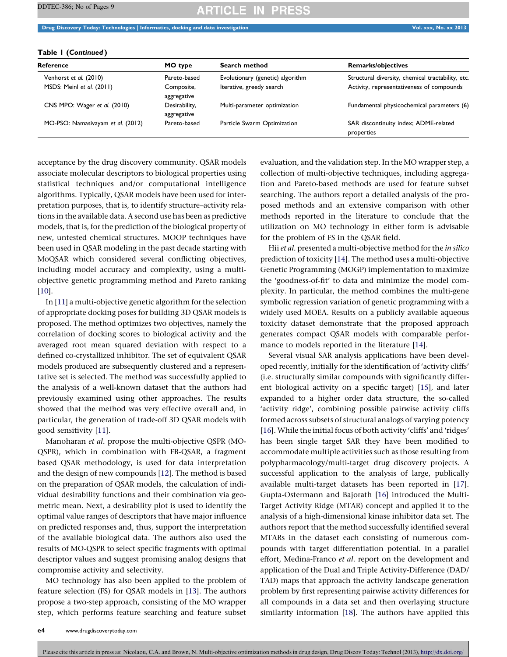## Table 1 (Continued )

| Reference                         | MO type                      | Search method                    | <b>Remarks/objectives</b>                           |
|-----------------------------------|------------------------------|----------------------------------|-----------------------------------------------------|
| Venhorst et al. (2010)            | Pareto-based                 | Evolutionary (genetic) algorithm | Structural diversity, chemical tractability, etc.   |
| MSDS: Meinl et al. (2011)         | Composite,<br>aggregative    | Iterative, greedy search         | Activity, representativeness of compounds           |
| CNS MPO: Wager et al. (2010)      | Desirability,<br>aggregative | Multi-parameter optimization     | Fundamental physicochemical parameters (6)          |
| MO-PSO: Namasivayam et al. (2012) | Pareto-based                 | Particle Swarm Optimization      | SAR discontinuity index; ADME-related<br>properties |

acceptance by the drug discovery community. QSAR models associate molecular descriptors to biological properties using statistical techniques and/or computational intelligence algorithms. Typically, QSAR models have been used for interpretation purposes, that is, to identify structure–activity relations in the available data. A second use has been as predictive models, that is, for the prediction of the biological property of new, untested chemical structures. MOOP techniques have been used in QSAR modeling in the past decade starting with MoQSAR which considered several conflicting objectives, including model accuracy and complexity, using a multiobjective genetic programming method and Pareto ranking [\[10\]](#page-8-0).

In [\[11](#page-8-0)] a multi-objective genetic algorithm for the selection of appropriate docking poses for building 3D QSAR models is proposed. The method optimizes two objectives, namely the correlation of docking scores to biological activity and the averaged root mean squared deviation with respect to a defined co-crystallized inhibitor. The set of equivalent QSAR models produced are subsequently clustered and a representative set is selected. The method was successfully applied to the analysis of a well-known dataset that the authors had previously examined using other approaches. The results showed that the method was very effective overall and, in particular, the generation of trade-off 3D QSAR models with good sensitivity [[11](#page-8-0)].

Manoharan et al. propose the multi-objective QSPR (MO-QSPR), which in combination with FB-QSAR, a fragment based QSAR methodology, is used for data interpretation and the design of new compounds [[12](#page-8-0)]. The method is based on the preparation of QSAR models, the calculation of individual desirability functions and their combination via geometric mean. Next, a desirability plot is used to identify the optimal value ranges of descriptors that have major influence on predicted responses and, thus, support the interpretation of the available biological data. The authors also used the results of MO-QSPR to select specific fragments with optimal descriptor values and suggest promising analog designs that compromise activity and selectivity.

MO technology has also been applied to the problem of feature selection (FS) for QSAR models in [[13\]](#page-8-0). The authors propose a two-step approach, consisting of the MO wrapper step, which performs feature searching and feature subset

evaluation, and the validation step. In the MO wrapper step, a collection of multi-objective techniques, including aggregation and Pareto-based methods are used for feature subset searching. The authors report a detailed analysis of the proposed methods and an extensive comparison with other methods reported in the literature to conclude that the utilization on MO technology in either form is advisable for the problem of FS in the QSAR field.

Hii et al. presented a multi-objective method for the in silico prediction of toxicity [\[14](#page-8-0)]. The method uses a multi-objective Genetic Programming (MOGP) implementation to maximize the 'goodness-of-fit' to data and minimize the model complexity. In particular, the method combines the multi-gene symbolic regression variation of genetic programming with a widely used MOEA. Results on a publicly available aqueous toxicity dataset demonstrate that the proposed approach generates compact QSAR models with comparable performance to models reported in the literature [\[14\]](#page-8-0).

Several visual SAR analysis applications have been developed recently, initially for the identification of 'activity cliffs' (i.e. structurally similar compounds with significantly different biological activity on a specific target) [[15](#page-8-0)], and later expanded to a higher order data structure, the so-called 'activity ridge', combining possible pairwise activity cliffs formed across subsets of structural analogs of varying potency [[16\]](#page-8-0). While the initial focus of both activity 'cliffs' and 'ridges' has been single target SAR they have been modified to accommodate multiple activities such as those resulting from polypharmacology/multi-target drug discovery projects. A successful application to the analysis of large, publically available multi-target datasets has been reported in [\[17](#page-8-0)]. Gupta-Ostermann and Bajorath [\[16\]](#page-8-0) introduced the Multi-Target Activity Ridge (MTAR) concept and applied it to the analysis of a high-dimensional kinase inhibitor data set. The authors report that the method successfully identified several MTARs in the dataset each consisting of numerous compounds with target differentiation potential. In a parallel effort, Medina-Franco et al. report on the development and application of the Dual and Triple Activity-Difference (DAD/ TAD) maps that approach the activity landscape generation problem by first representing pairwise activity differences for all compounds in a data set and then overlaying structure similarity information [\[18\]](#page-8-0). The authors have applied this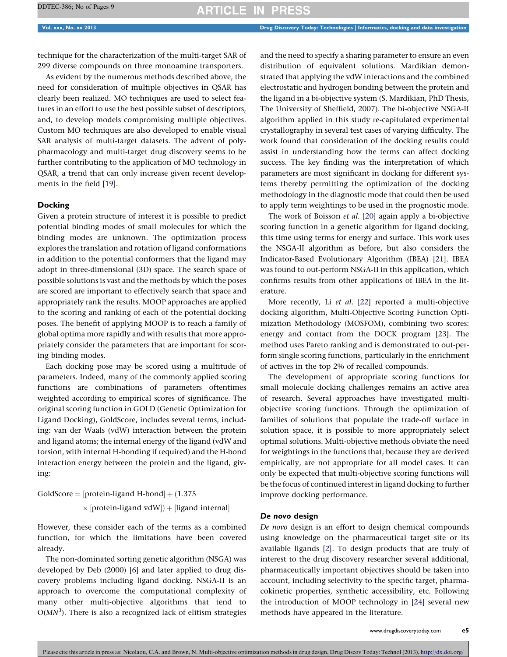technique for the characterization of the multi-target SAR of 299 diverse compounds on three monoamine transporters.

As evident by the numerous methods described above, the need for consideration of multiple objectives in QSAR has clearly been realized. MO techniques are used to select features in an effort to use the best possible subset of descriptors, and, to develop models compromising multiple objectives. Custom MO techniques are also developed to enable visual SAR analysis of multi-target datasets. The advent of polypharmacology and multi-target drug discovery seems to be further contributing to the application of MO technology in QSAR, a trend that can only increase given recent developments in the field [[19](#page-8-0)].

#### Docking

Given a protein structure of interest it is possible to predict potential binding modes of small molecules for which the binding modes are unknown. The optimization process explores the translation and rotation of ligand conformations in addition to the potential conformers that the ligand may adopt in three-dimensional (3D) space. The search space of possible solutions is vast and the methods by which the poses are scored are important to effectively search that space and appropriately rank the results. MOOP approaches are applied to the scoring and ranking of each of the potential docking poses. The benefit of applying MOOP is to reach a family of global optima more rapidly and with results that more appropriately consider the parameters that are important for scoring binding modes.

Each docking pose may be scored using a multitude of parameters. Indeed, many of the commonly applied scoring functions are combinations of parameters oftentimes weighted according to empirical scores of significance. The original scoring function in GOLD (Genetic Optimization for Ligand Docking), GoldScore, includes several terms, including: van der Waals (vdW) interaction between the protein and ligand atoms; the internal energy of the ligand (vdW and torsion, with internal H-bonding if required) and the H-bond interaction energy between the protein and the ligand, giving:

 $GoldScore = [protein-ligand H-bond] + (1.375$  $\times$  [protein-ligand vdW]) + [ligand internal]

However, these consider each of the terms as a combined function, for which the limitations have been covered already.

The non-dominated sorting genetic algorithm (NSGA) was developed by Deb (2000) [\[6\]](#page-8-0) and later applied to drug discovery problems including ligand docking. NSGA-II is an approach to overcome the computational complexity of many other multi-objective algorithms that tend to  $O(MN^3)$ . There is also a recognized lack of elitism strategies

and the need to specify a sharing parameter to ensure an even distribution of equivalent solutions. Mardikian demonstrated that applying the vdW interactions and the combined electrostatic and hydrogen bonding between the protein and the ligand in a bi-objective system (S. Mardikian, PhD Thesis, The University of Sheffield, 2007). The bi-objective NSGA-II algorithm applied in this study re-capitulated experimental crystallography in several test cases of varying difficulty. The work found that consideration of the docking results could assist in understanding how the terms can affect docking success. The key finding was the interpretation of which parameters are most significant in docking for different systems thereby permitting the optimization of the docking methodology in the diagnostic mode that could then be used to apply term weightings to be used in the prognostic mode.

The work of Boisson et al. [\[20\]](#page-8-0) again apply a bi-objective scoring function in a genetic algorithm for ligand docking, this time using terms for energy and surface. This work uses the NSGA-II algorithm as before, but also considers the Indicator-Based Evolutionary Algorithm (IBEA) [\[21](#page-8-0)]. IBEA was found to out-perform NSGA-II in this application, which confirms results from other applications of IBEA in the literature.

More recently, Li et al. [\[22](#page-8-0)] reported a multi-objective docking algorithm, Multi-Objective Scoring Function Optimization Methodology (MOSFOM), combining two scores: energy and contact from the DOCK program [\[23\]](#page-8-0). The method uses Pareto ranking and is demonstrated to out-perform single scoring functions, particularly in the enrichment of actives in the top 2% of recalled compounds.

The development of appropriate scoring functions for small molecule docking challenges remains an active area of research. Several approaches have investigated multiobjective scoring functions. Through the optimization of families of solutions that populate the trade-off surface in solution space, it is possible to more appropriately select optimal solutions. Multi-objective methods obviate the need for weightings in the functions that, because they are derived empirically, are not appropriate for all model cases. It can only be expected that multi-objective scoring functions will be the focus of continued interest in ligand docking to further improve docking performance.

#### De novo design

De novo design is an effort to design chemical compounds using knowledge on the pharmaceutical target site or its available ligands [\[2](#page-8-0)]. To design products that are truly of interest to the drug discovery researcher several additional, pharmaceutically important objectives should be taken into account, including selectivity to the specific target, pharmacokinetic properties, synthetic accessibility, etc. Following the introduction of MOOP technology in [\[24\]](#page-8-0) several new methods have appeared in the literature.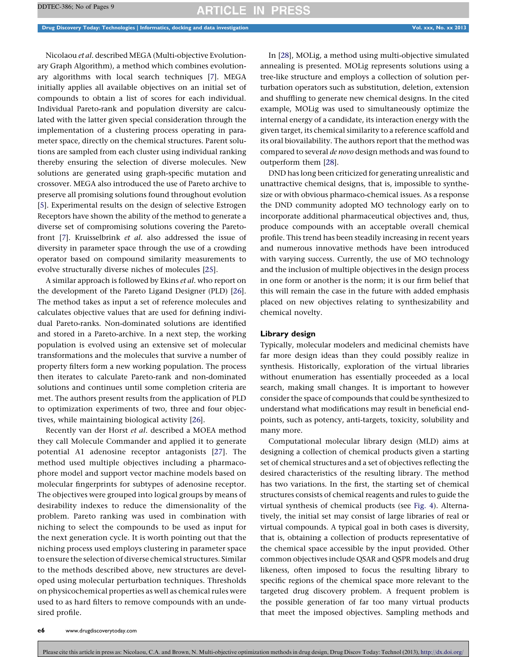Nicolaou et al. described MEGA (Multi-objective Evolutionary Graph Algorithm), a method which combines evolutionary algorithms with local search techniques [[7](#page-8-0)]. MEGA initially applies all available objectives on an initial set of compounds to obtain a list of scores for each individual. Individual Pareto-rank and population diversity are calculated with the latter given special consideration through the implementation of a clustering process operating in parameter space, directly on the chemical structures. Parent solutions are sampled from each cluster using individual ranking thereby ensuring the selection of diverse molecules. New solutions are generated using graph-specific mutation and crossover. MEGA also introduced the use of Pareto archive to preserve all promising solutions found throughout evolution [\[5](#page-8-0)]. Experimental results on the design of selective Estrogen Receptors have shown the ability of the method to generate a diverse set of compromising solutions covering the Paretofront [[7\]](#page-8-0). Kruisselbrink et al. also addressed the issue of diversity in parameter space through the use of a crowding operator based on compound similarity measurements to evolve structurally diverse niches of molecules [[25](#page-8-0)].

A similar approach is followed by Ekins et al. who report on the development of the Pareto Ligand Designer (PLD) [[26](#page-8-0)]. The method takes as input a set of reference molecules and calculates objective values that are used for defining individual Pareto-ranks. Non-dominated solutions are identified and stored in a Pareto-archive. In a next step, the working population is evolved using an extensive set of molecular transformations and the molecules that survive a number of property filters form a new working population. The process then iterates to calculate Pareto-rank and non-dominated solutions and continues until some completion criteria are met. The authors present results from the application of PLD to optimization experiments of two, three and four objectives, while maintaining biological activity [\[26](#page-8-0)].

Recently van der Horst et al. described a MOEA method they call Molecule Commander and applied it to generate potential A1 adenosine receptor antagonists [[27](#page-8-0)]. The method used multiple objectives including a pharmacophore model and support vector machine models based on molecular fingerprints for subtypes of adenosine receptor. The objectives were grouped into logical groups by means of desirability indexes to reduce the dimensionality of the problem. Pareto ranking was used in combination with niching to select the compounds to be used as input for the next generation cycle. It is worth pointing out that the niching process used employs clustering in parameter space to ensure the selection of diverse chemical structures. Similar to the methods described above, new structures are developed using molecular perturbation techniques. Thresholds on physicochemical properties as well as chemical rules were used to as hard filters to remove compounds with an undesired profile.

In [\[28](#page-8-0)], MOLig, a method using multi-objective simulated annealing is presented. MOLig represents solutions using a tree-like structure and employs a collection of solution perturbation operators such as substitution, deletion, extension and shuffling to generate new chemical designs. In the cited example, MOLig was used to simultaneously optimize the internal energy of a candidate, its interaction energy with the given target, its chemical similarity to a reference scaffold and its oral biovailability. The authors report that the method was compared to several de novo design methods and was found to outperform them [[28\]](#page-8-0).

DND has long been criticized for generating unrealistic and unattractive chemical designs, that is, impossible to synthesize or with obvious pharmaco-chemical issues. As a response the DND community adopted MO technology early on to incorporate additional pharmaceutical objectives and, thus, produce compounds with an acceptable overall chemical profile. This trend has been steadily increasing in recent years and numerous innovative methods have been introduced with varying success. Currently, the use of MO technology and the inclusion of multiple objectives in the design process in one form or another is the norm; it is our firm belief that this will remain the case in the future with added emphasis placed on new objectives relating to synthesizability and chemical novelty.

#### Library design

Typically, molecular modelers and medicinal chemists have far more design ideas than they could possibly realize in synthesis. Historically, exploration of the virtual libraries without enumeration has essentially proceeded as a local search, making small changes. It is important to however consider the space of compounds that could be synthesized to understand what modifications may result in beneficial endpoints, such as potency, anti-targets, toxicity, solubility and many more.

Computational molecular library design (MLD) aims at designing a collection of chemical products given a starting set of chemical structures and a set of objectives reflecting the desired characteristics of the resulting library. The method has two variations. In the first, the starting set of chemical structures consists of chemical reagents and rules to guide the virtual synthesis of chemical products (see [Fig.](#page-6-0) 4). Alternatively, the initial set may consist of large libraries of real or virtual compounds. A typical goal in both cases is diversity, that is, obtaining a collection of products representative of the chemical space accessible by the input provided. Other common objectives include QSAR and QSPR models and drug likeness, often imposed to focus the resulting library to specific regions of the chemical space more relevant to the targeted drug discovery problem. A frequent problem is the possible generation of far too many virtual products that meet the imposed objectives. Sampling methods and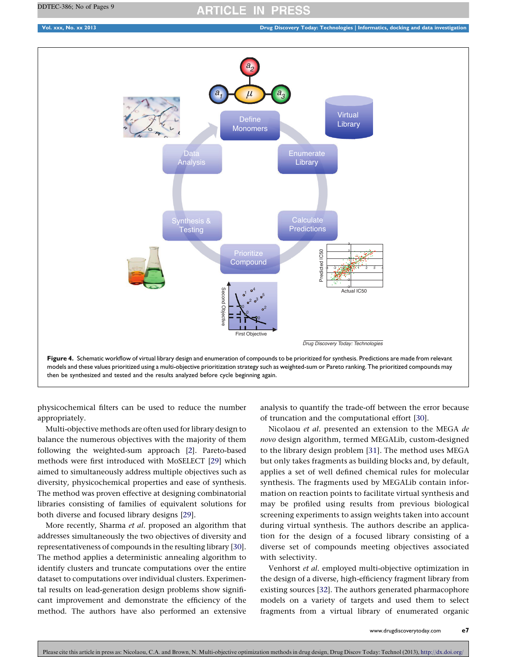<span id="page-6-0"></span>

physicochemical filters can be used to reduce the number appropriately.

Multi-objective methods are often used for library design to balance the numerous objectives with the majority of them following the weighted-sum approach [\[2\]](#page-8-0). Pareto-based methods were first introduced with MoSELECT [\[29\]](#page-8-0) which aimed to simultaneously address multiple objectives such as diversity, physicochemical properties and ease of synthesis. The method was proven effective at designing combinatorial libraries consisting of families of equivalent solutions for both diverse and focused library designs [\[29](#page-8-0)].

More recently, Sharma et al. proposed an algorithm that addresses simultaneously the two objectives of diversity and representativeness of compounds in the resulting library [[30](#page-8-0)]. The method applies a deterministic annealing algorithm to identify clusters and truncate computations over the entire dataset to computations over individual clusters. Experimental results on lead-generation design problems show significant improvement and demonstrate the efficiency of the method. The authors have also performed an extensive

analysis to quantify the trade-off between the error because of truncation and the computational effort [[30](#page-8-0)].

Nicolaou et al. presented an extension to the MEGA de novo design algorithm, termed MEGALib, custom-designed to the library design problem [\[31\]](#page-8-0). The method uses MEGA but only takes fragments as building blocks and, by default, applies a set of well defined chemical rules for molecular synthesis. The fragments used by MEGALib contain information on reaction points to facilitate virtual synthesis and may be profiled using results from previous biological screening experiments to assign weights taken into account during virtual synthesis. The authors describe an application for the design of a focused library consisting of a diverse set of compounds meeting objectives associated with selectivity.

Venhorst et al. employed multi-objective optimization in the design of a diverse, high-efficiency fragment library from existing sources [[32](#page-8-0)]. The authors generated pharmacophore models on a variety of targets and used them to select fragments from a virtual library of enumerated organic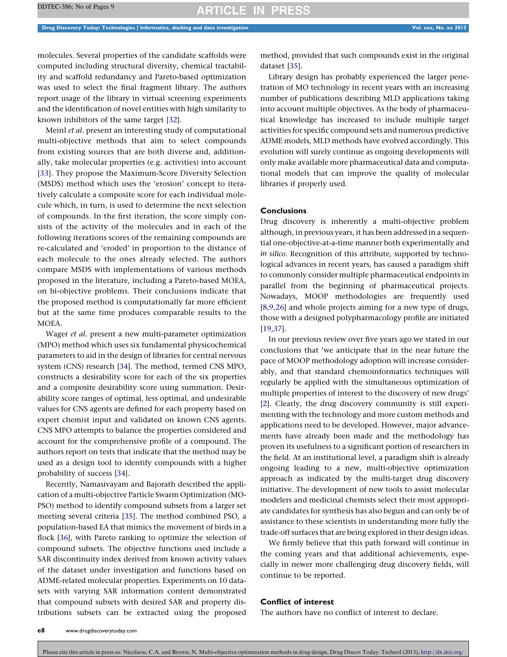molecules. Several properties of the candidate scaffolds were computed including structural diversity, chemical tractability and scaffold redundancy and Pareto-based optimization was used to select the final fragment library. The authors report usage of the library in virtual screening experiments and the identification of novel entities with high similarity to known inhibitors of the same target [\[32](#page-8-0)].

Meinl et al. present an interesting study of computational multi-objective methods that aim to select compounds from existing sources that are both diverse and, additionally, take molecular properties (e.g. activities) into account [\[33\]](#page-8-0). They propose the Maximum-Score Diversity Selection (MSDS) method which uses the 'erosion' concept to iteratively calculate a composite score for each individual molecule which, in turn, is used to determine the next selection of compounds. In the first iteration, the score simply consists of the activity of the molecules and in each of the following iterations scores of the remaining compounds are re-calculated and 'eroded' in proportion to the distance of each molecule to the ones already selected. The authors compare MSDS with implementations of various methods proposed in the literature, including a Pareto-based MOEA, on bi-objective problems. Their conclusions indicate that the proposed method is computationally far more efficient but at the same time produces comparable results to the MOEA.

Wager et al. present a new multi-parameter optimization (MPO) method which uses six fundamental physicochemical parameters to aid in the design of libraries for central nervous system (CNS) research [\[34\]](#page-8-0). The method, termed CNS MPO, constructs a desirability score for each of the six properties and a composite desirability score using summation. Desirability score ranges of optimal, less optimal, and undesirable values for CNS agents are defined for each property based on expert chemist input and validated on known CNS agents. CNS MPO attempts to balance the properties considered and account for the comprehensive profile of a compound. The authors report on tests that indicate that the method may be used as a design tool to identify compounds with a higher probability of success [\[34\]](#page-8-0).

Recently, Namasivayam and Bajorath described the application of a multi-objective Particle Swarm Optimization (MO-PSO) method to identify compound subsets from a larger set meeting several criteria [\[35\]](#page-8-0). The method combined PSO, a population-based EA that mimics the movement of birds in a flock [[36](#page-8-0)], with Pareto ranking to optimize the selection of compound subsets. The objective functions used include a SAR discontinuity index derived from known activity values of the dataset under investigation and functions based on ADME-related molecular properties. Experiments on 10 datasets with varying SAR information content demonstrated that compound subsets with desired SAR and property distributions subsets can be extracted using the proposed

method, provided that such compounds exist in the original dataset [\[35](#page-8-0)].

Library design has probably experienced the larger penetration of MO technology in recent years with an increasing number of publications describing MLD applications taking into account multiple objectives. As the body of pharmaceutical knowledge has increased to include multiple target activities for specific compound sets and numerous predictive ADME models, MLD methods have evolved accordingly. This evolution will surely continue as ongoing developments will only make available more pharmaceutical data and computational models that can improve the quality of molecular libraries if properly used.

#### **Conclusions**

Drug discovery is inherently a multi-objective problem although, in previous years, it has been addressed in a sequential one-objective-at-a-time manner both experimentally and in silico. Recognition of this attribute, supported by technological advances in recent years, has caused a paradigm shift to commonly consider multiple pharmaceutical endpoints in parallel from the beginning of pharmaceutical projects. Nowadays, MOOP methodologies are frequently used [[8,9,26](#page-8-0)] and whole projects aiming for a new type of drugs, those with a designed polypharmacology profile are initiated [[19,37\]](#page-8-0).

In our previous review over five years ago we stated in our conclusions that 'we anticipate that in the near future the pace of MOOP methodology adoption will increase considerably, and that standard chemoinformatics techniques will regularly be applied with the simultaneous optimization of multiple properties of interest to the discovery of new drugs' [[2\]](#page-8-0). Clearly, the drug discovery community is still experimenting with the technology and more custom methods and applications need to be developed. However, major advancements have already been made and the methodology has proven its usefulness to a significant portion of researchers in the field. At an institutional level, a paradigm shift is already ongoing leading to a new, multi-objective optimization approach as indicated by the multi-target drug discovery initiative. The development of new tools to assist molecular modelers and medicinal chemists select their most appropriate candidates for synthesis has also begun and can only be of assistance to these scientists in understanding more fully the trade-off surfaces that are being explored in their design ideas.

We firmly believe that this path forward will continue in the coming years and that additional achievements, especially in newer more challenging drug discovery fields, will continue to be reported.

### Conflict of interest

The authors have no conflict of interest to declare.